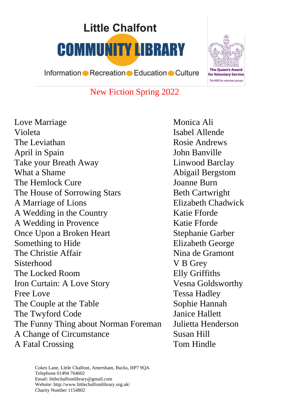# **Little Chalfont COMMUNITY LIBRARY**



Information • Recreation • Education • Culture

### New Fiction Spring 2022

Love Marriage Monica Ali Violeta **Isabel Allende** The Leviathan Rosie Andrews April in Spain John Banville Take your Breath Away Linwood Barclay What a Shame Abigail Bergstom The Hemlock Cure **Ioanne Burn** The House of Sorrowing Stars Beth Cartwright A Marriage of Lions Elizabeth Chadwick A Wedding in the Country Katie Fforde A Wedding in Provence Katie Fforde Once Upon a Broken Heart Stephanie Garber Something to Hide Elizabeth George The Christie Affair Nina de Gramont Sisterhood V B Grey The Locked Room Elly Griffiths Iron Curtain: A Love Story Vesna Goldsworthy Free Love Tessa Hadley The Couple at the Table Sophie Hannah The Twyford Code Janice Hallett The Funny Thing about Norman Foreman Julietta Henderson A Change of Circumstance Susan Hill A Fatal Crossing Tom Hindle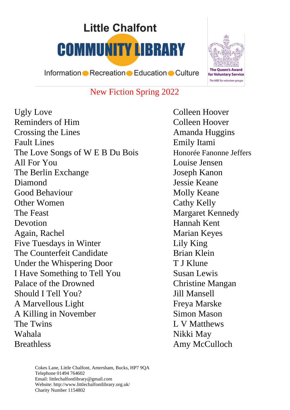# **Little Chalfont COMMUNITY LIBRARY**



Information Recreation Education Culture

### New Fiction Spring 2022

Ugly Love Colleen Hoover Reminders of Him Colleen Hoover Crossing the Lines **Amanda Huggins** Fault Lines Emily Itami The Love Songs of W E B Du Bois Honorée Fanonne Jeffers All For You Louise Jensen The Berlin Exchange Joseph Kanon Diamond Jessie Keane Good Behaviour Molly Keane Other Women Cathy Kelly The Feast Margaret Kennedy Devotion Hannah Kent Again, Rachel Marian Keyes Five Tuesdays in Winter Lily King The Counterfeit Candidate **Brian Klein** Under the Whispering Door T J Klune I Have Something to Tell You Susan Lewis Palace of the Drowned Christine Mangan Should I Tell You? Jill Mansell A Marvellous Light Freya Marske A Killing in November Simon Mason The Twins L V Matthews Wahala Nikki May Breathless Amy McCulloch

Cokes Lane, Little Chalfont, Amersham, Bucks, HP7 9QA Telephone 01494 764602 Email: littlechalfontlibrary@gmail.com Website: http://www.littlechalfontlibrary.org.uk/ Charity Number 1154802